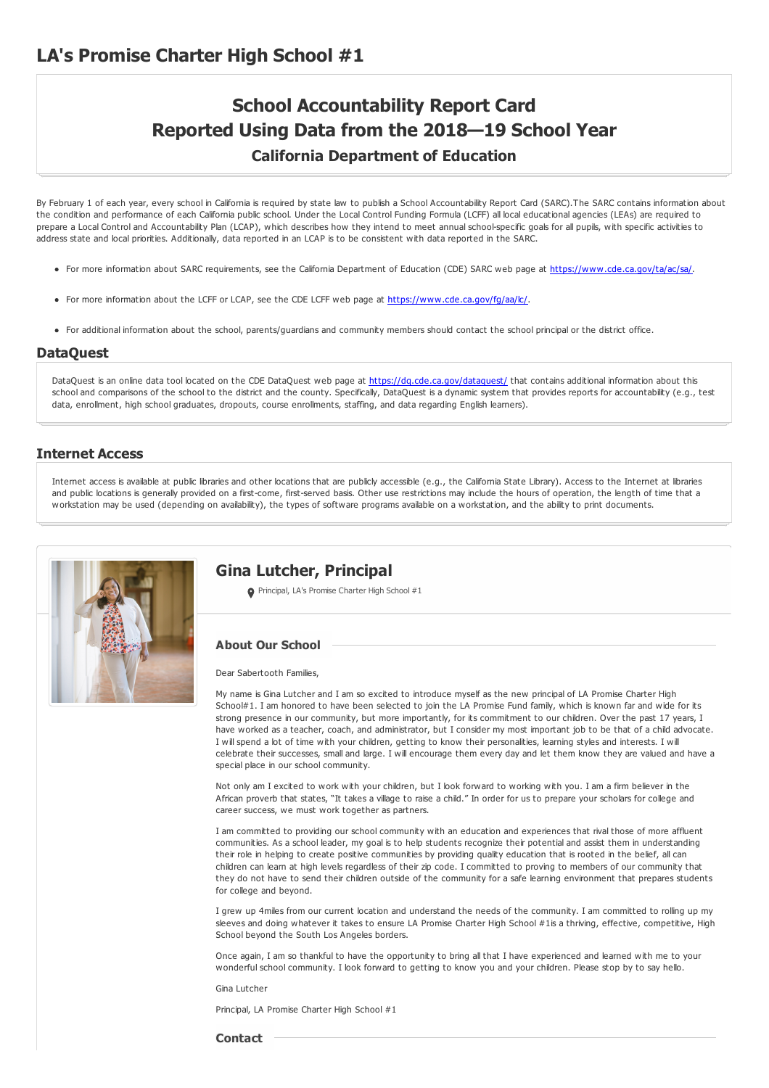# **School Accountability Report Card Reported Using Data from the 2018—19 School Year California Department of Education**

By February 1 of each year, every school in California is required by state law to publish a School Accountability Report Card (SARC).The SARC contains information about the condition and performance of each California public school. Under the Local Control Funding Formula (LCFF) all local educational agencies (LEAs) are required to prepare a Local Control and Accountability Plan (LCAP), which describes how they intend to meet annual school-specific goals for all pupils, with specific activities to address state and local priorities. Additionally, data reported in an LCAP is to be consistent with data reported in the SARC.

- For more information about SARC requirements, see the California Department of Education (CDE) SARC web page at <https://www.cde.ca.gov/ta/ac/sa/>.
- For more information about the LCFF or LCAP, see the CDE LCFF web page at <https://www.cde.ca.gov/fg/aa/lc/>.
- For additional information about the school, parents/guardians and community members should contact the school principal or the district office.

#### **DataQuest**

DataQuest is an online data tool located on the CDE DataQuest web page at <https://dq.cde.ca.gov/dataquest/> that contains additional information about this school and comparisons of the school to the district and the county. Specifically, DataQuest is a dynamic system that provides reports for accountability (e.g., test data, enrollment, high school graduates, dropouts, course enrollments, staffing, and data regarding English learners).

#### **Internet Access**

Internet access is available at public libraries and other locations that are publicly accessible (e.g., the California State Library). Access to the Internet at libraries and public locations is generally provided on a first-come, first-served basis. Other use restrictions may include the hours of operation, the length of time that a workstation may be used (depending on availability), the types of software programs available on a workstation, and the ability to print documents.



#### **Gina Lutcher, Principal**

Principal, LA's Promise Charter High School #1

#### **About Our School**

Dear Sabertooth Families,

My name is Gina Lutcher and I am so excited to introduce myself as the new principal of LA Promise Charter High School#1. I am honored to have been selected to join the LA Promise Fund family, which is known far and wide for its strong presence in our community, but more importantly, for its commitment to our children. Over the past 17 years, I have worked as a teacher, coach, and administrator, but I consider my most important job to be that of a child advocate. I will spend a lot of time with your children, getting to know their personalities, learning styles and interests. I will celebrate their successes, small and large. I will encourage them every day and let them know they are valued and have a special place in our school community.

Not only am I excited to work with your children, but I look forward to working with you. I am a firm believer in the African proverb that states, "It takes a village to raise a child." In order for us to prepare your scholars for college and career success, we must work together as partners.

I am committed to providing our school community with an education and experiences that rival those of more affluent communities. As a school leader, my goal is to help students recognize their potential and assist them in understanding their role in helping to create positive communities by providing quality education that is rooted in the belief, all can children can learn at high levels regardless of their zip code. I committed to proving to members of our community that they do not have to send their children outside of the community for a safe learning environment that prepares students for college and beyond.

I grew up 4miles from our current location and understand the needs of the community. I am committed to rolling up my sleeves and doing whatever it takes to ensure LA Promise Charter High School #1is a thriving, effective, competitive, High School beyond the South Los Angeles borders.

Once again, I am so thankful to have the opportunity to bring all that I have experienced and learned with me to your wonderful school community. I look forward to getting to know you and your children. Please stop by to say hello.

Gina Lutcher

Principal, LA Promise Charter High School #1

**Contact**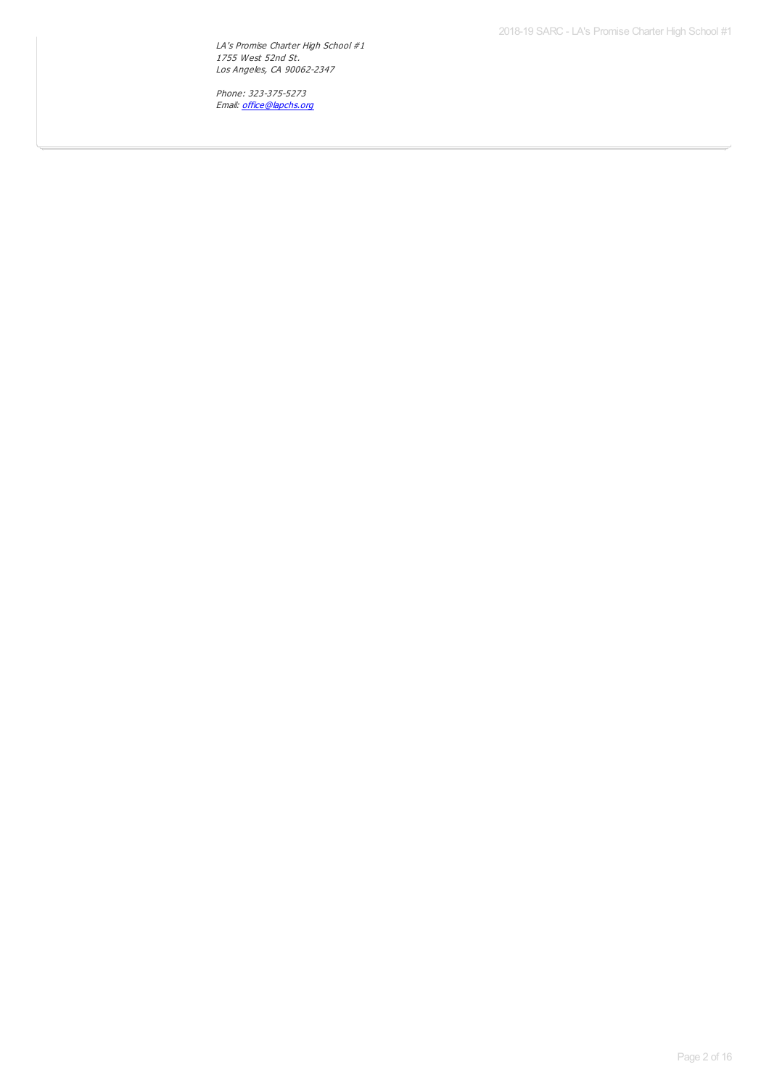2018-19 SARC - LA's Promise Charter High School #1

LA's Promise Charter High School #1 1755 West 52nd St. Los Angeles, CA 90062-2347

Phone: 323-375-5273 Email: <u>[office@lapchs.org](mailto:office@lapchs.org)</u>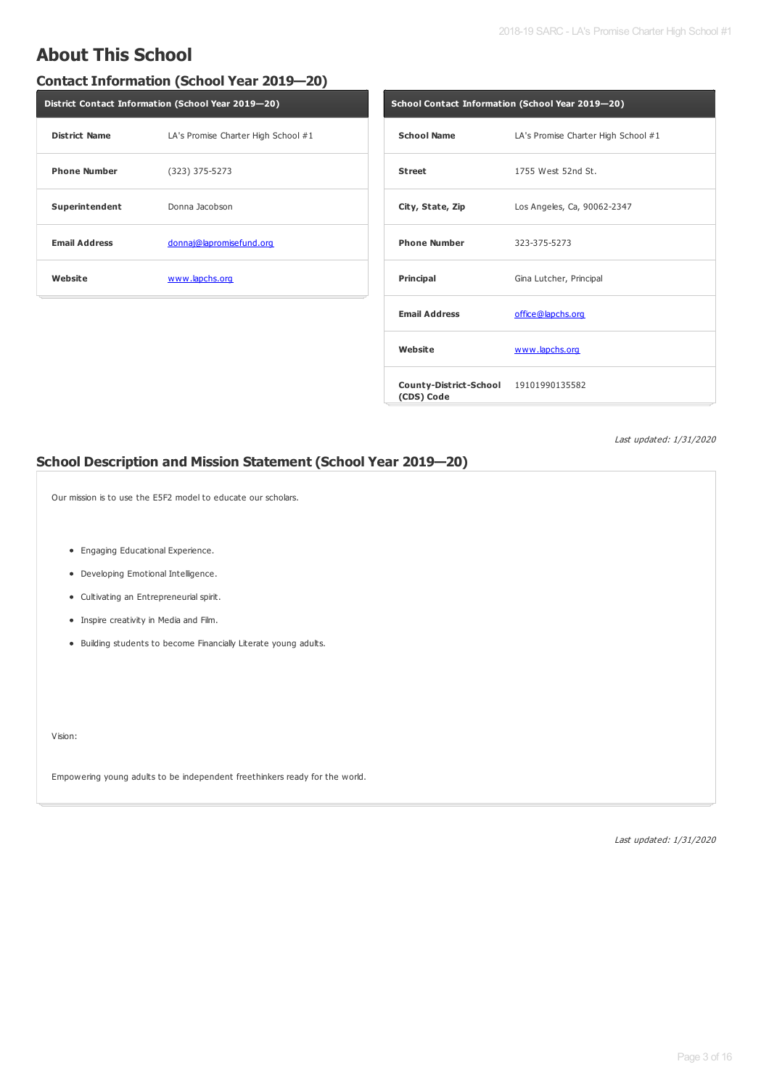## **About This School**

#### **Contact Information (School Year 2019—20)**

| District Contact Information (School Year 2019-20) |                                     |  |  |  |
|----------------------------------------------------|-------------------------------------|--|--|--|
| <b>District Name</b>                               | LA's Promise Charter High School #1 |  |  |  |
| <b>Phone Number</b>                                | $(323)$ 375-5273                    |  |  |  |
| Superintendent                                     | Donna Jacobson                      |  |  |  |
| <b>Email Address</b>                               | donnaj@lapromisefund.org            |  |  |  |
| Website                                            | www.lapchs.org                      |  |  |  |

| School Contact Information (School Year 2019-20)    |                                     |  |  |  |
|-----------------------------------------------------|-------------------------------------|--|--|--|
| <b>School Name</b>                                  | LA's Promise Charter High School #1 |  |  |  |
| <b>Street</b>                                       | 1755 West 52nd St.                  |  |  |  |
| City, State, Zip                                    | Los Angeles, Ca, 90062-2347         |  |  |  |
| <b>Phone Number</b>                                 | 323-375-5273                        |  |  |  |
| Principal                                           | Gina Lutcher, Principal             |  |  |  |
| <b>Email Address</b>                                | office@lapchs.org                   |  |  |  |
| Website                                             | www.lapchs.org                      |  |  |  |
| County-District-School 19101990135582<br>(CDS) Code |                                     |  |  |  |

Last updated: 1/31/2020

#### **School Description and Mission Statement (School Year 2019—20)**

Our mission is to use the E5F2 model to educate our scholars.

- Engaging Educational Experience.
- Developing Emotional Intelligence.
- Cultivating an Entrepreneurial spirit.
- Inspire creativity in Media and Film.
- Building students to become Financially Literate young adults.

Vision:

Empowering young adults to be independent freethinkers ready for the world.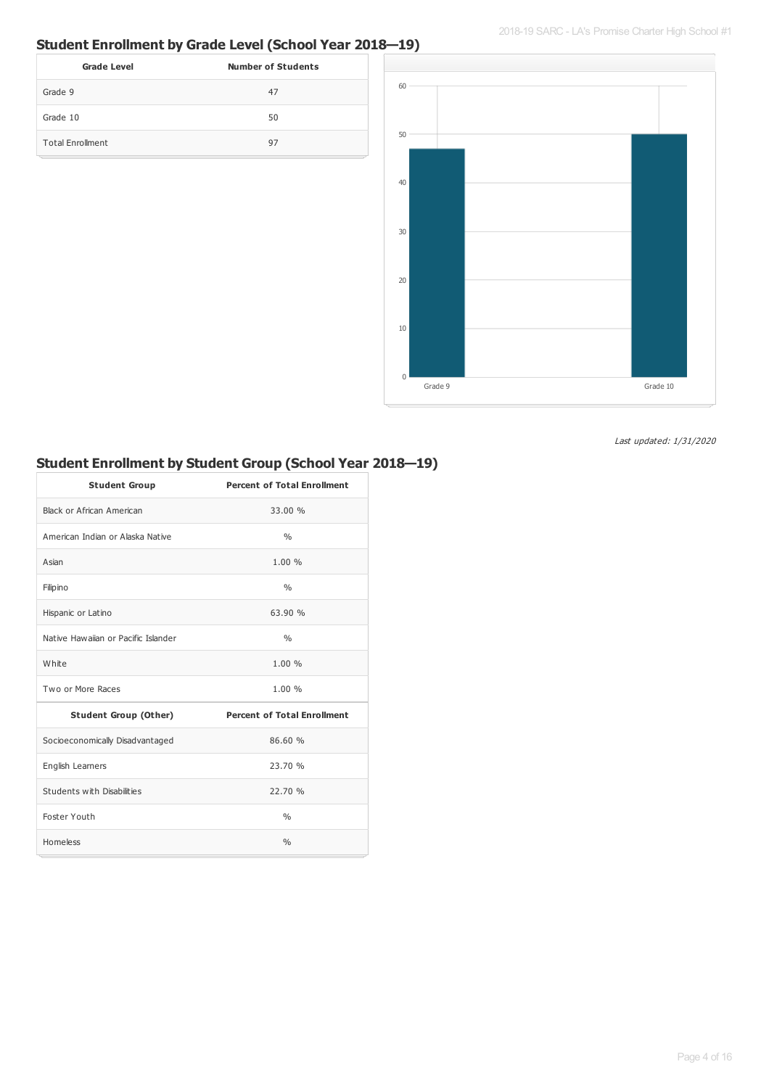2018-19 SARC - LA's Promise Charter High School #1

## **Student Enrollment by Grade Level (School Year 2018—19)**

| <b>Grade Level</b>      | <b>Number of Students</b> |
|-------------------------|---------------------------|
| Grade 9                 | 47                        |
| Grade 10                | 50                        |
| <b>Total Enrollment</b> | 97                        |



Last updated: 1/31/2020

## **Student Enrollment by Student Group (School Year 2018—19)**

| <b>Student Group</b>                | <b>Percent of Total Enrollment</b> |
|-------------------------------------|------------------------------------|
| Black or African American           | 33.00 %                            |
| American Indian or Alaska Native    | $\frac{0}{0}$                      |
| Asian                               | 1.00%                              |
| Filipino                            | $\frac{0}{0}$                      |
| Hispanic or Latino                  | 63.90 %                            |
| Native Hawaijan or Pacific Islander | $\frac{0}{0}$                      |
| White                               | 1.00%                              |
| Two or More Races                   | 1.00%                              |
| <b>Student Group (Other)</b>        | <b>Percent of Total Enrollment</b> |
| Socioeconomically Disadvantaged     | 86.60 %                            |
| English Learners                    | 23.70%                             |
| Students with Disabilities          | 22.70 %                            |
| Foster Youth                        | $\frac{0}{0}$                      |
| Homeless                            | $\frac{0}{0}$                      |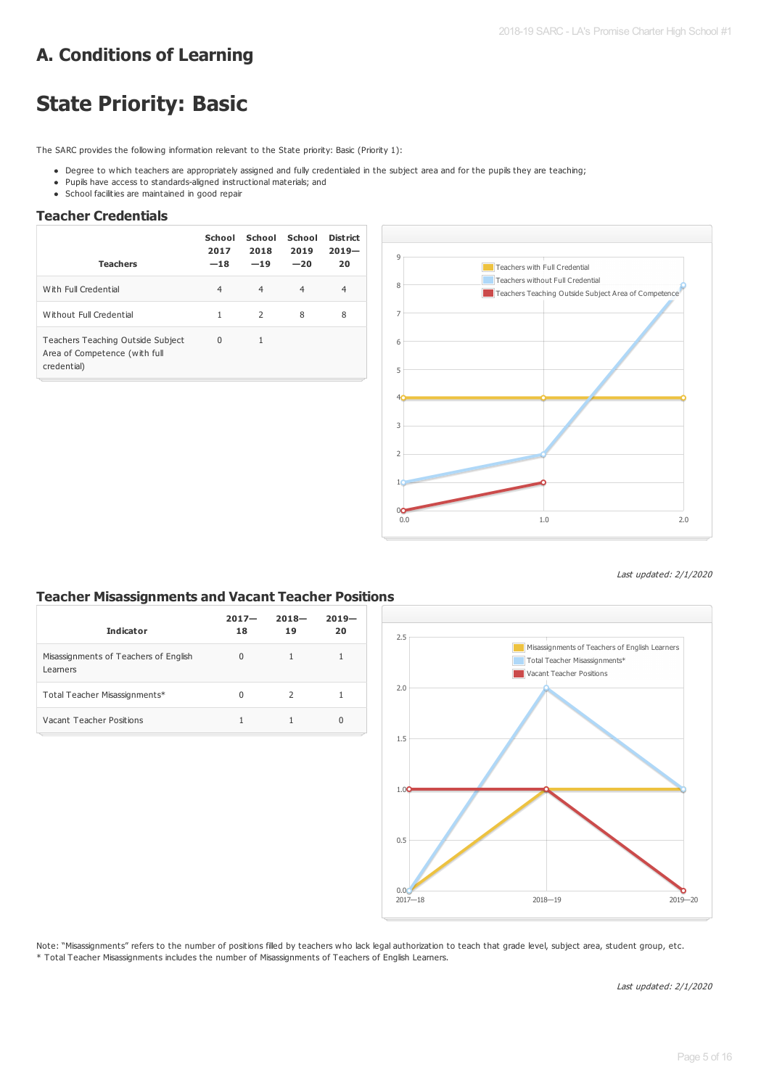# **A. Conditions of Learning**

# **State Priority: Basic**

The SARC provides the following information relevant to the State priority: Basic (Priority 1):

- Degree to which teachers are appropriately assigned and fully credentialed in the subject area and for the pupils they are teaching;
- Pupils have access to standards-aligned instructional materials; and
- School facilities are maintained in good repair

#### **Teacher Credentials**

| <b>Teachers</b>                                                                   | School<br>2017<br>$-18$ | School<br>2018<br>$-19$ | School<br>2019<br>$-20$ | District<br>$2019-$<br>20 |
|-----------------------------------------------------------------------------------|-------------------------|-------------------------|-------------------------|---------------------------|
| With Full Credential                                                              | $\overline{4}$          | $\overline{4}$          | $\overline{4}$          | 4                         |
| Without Full Credential                                                           | 1                       | 2                       | 8                       | 8                         |
| Teachers Teaching Outside Subject<br>Area of Competence (with full<br>credential) | $\Omega$                | 1                       |                         |                           |



Last updated: 2/1/2020

#### **Teacher Misassignments and Vacant Teacher Positions**

| <b>Indicator</b>                                  | $2017 -$<br>18 | $2018 -$<br>19 | $2019-$<br>20 |
|---------------------------------------------------|----------------|----------------|---------------|
| Misassignments of Teachers of English<br>Learners | $\Omega$       |                |               |
| Total Teacher Misassignments*                     | 0              | $\mathcal{L}$  |               |
| Vacant Teacher Positions                          |                |                | 0             |



Note: "Misassignments" refers to the number of positions filled by teachers who lack legal authorization to teach that grade level, subject area, student group, etc. \* Total Teacher Misassignments includes the number of Misassignments of Teachers of English Learners.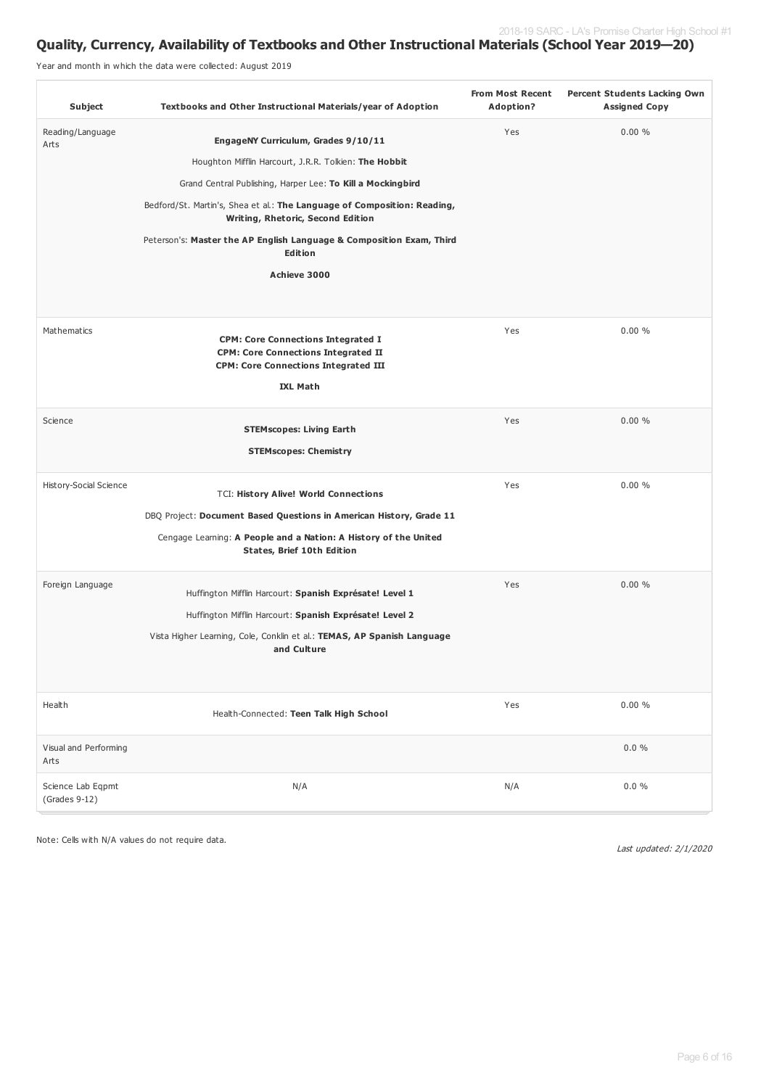### **Quality, Currency, Availability of Textbooks and Other Instructional Materials (School Year 2019—20)**

Year and month in which the data were collected: August 2019

| Subject                              | <b>Textbooks and Other Instructional Materials/year of Adoption</b>                                                                                                                                                                                                                                                                                                             | <b>From Most Recent</b><br>Adoption? | <b>Percent Students Lacking Own</b><br><b>Assigned Copy</b> |
|--------------------------------------|---------------------------------------------------------------------------------------------------------------------------------------------------------------------------------------------------------------------------------------------------------------------------------------------------------------------------------------------------------------------------------|--------------------------------------|-------------------------------------------------------------|
| Reading/Language<br>Arts             | EngageNY Curriculum, Grades 9/10/11<br>Houghton Mifflin Harcourt, J.R.R. Tolkien: The Hobbit<br>Grand Central Publishing, Harper Lee: To Kill a Mockingbird<br>Bedford/St. Martin's, Shea et al.: The Language of Composition: Reading,<br>Writing, Rhetoric, Second Edition<br>Peterson's: Master the AP English Language & Composition Exam, Third<br>Edition<br>Achieve 3000 | Yes                                  | 0.00%                                                       |
| Mathematics                          | <b>CPM: Core Connections Integrated I</b><br><b>CPM: Core Connections Integrated II</b><br><b>CPM: Core Connections Integrated III</b><br><b>IXL Math</b>                                                                                                                                                                                                                       | Yes                                  | 0.00%                                                       |
| Science                              | <b>STEMscopes: Living Earth</b><br><b>STEMscopes: Chemistry</b>                                                                                                                                                                                                                                                                                                                 | Yes                                  | 0.00%                                                       |
| History-Social Science               | <b>TCI: History Alive! World Connections</b><br>DBQ Project: Document Based Questions in American History, Grade 11<br>Cengage Learning: A People and a Nation: A History of the United<br>States, Brief 10th Edition                                                                                                                                                           | Yes                                  | 0.00%                                                       |
| Foreign Language                     | Huffington Mifflin Harcourt: Spanish Exprésate! Level 1<br>Huffington Mifflin Harcourt: Spanish Exprésate! Level 2<br>Vista Higher Learning, Cole, Conklin et al.: TEMAS, AP Spanish Language<br>and Culture                                                                                                                                                                    | Yes                                  | 0.00%                                                       |
| Health                               | Health-Connected: Teen Talk High School                                                                                                                                                                                                                                                                                                                                         | Yes                                  | $0.00 \%$                                                   |
| Visual and Performing<br>Arts        | N/A                                                                                                                                                                                                                                                                                                                                                                             |                                      | $0.0 \%$<br>$0.0 \%$                                        |
| Science Lab Eqpmt<br>$(Grades 9-12)$ |                                                                                                                                                                                                                                                                                                                                                                                 | N/A                                  |                                                             |

Note: Cells with N/A values do not require data.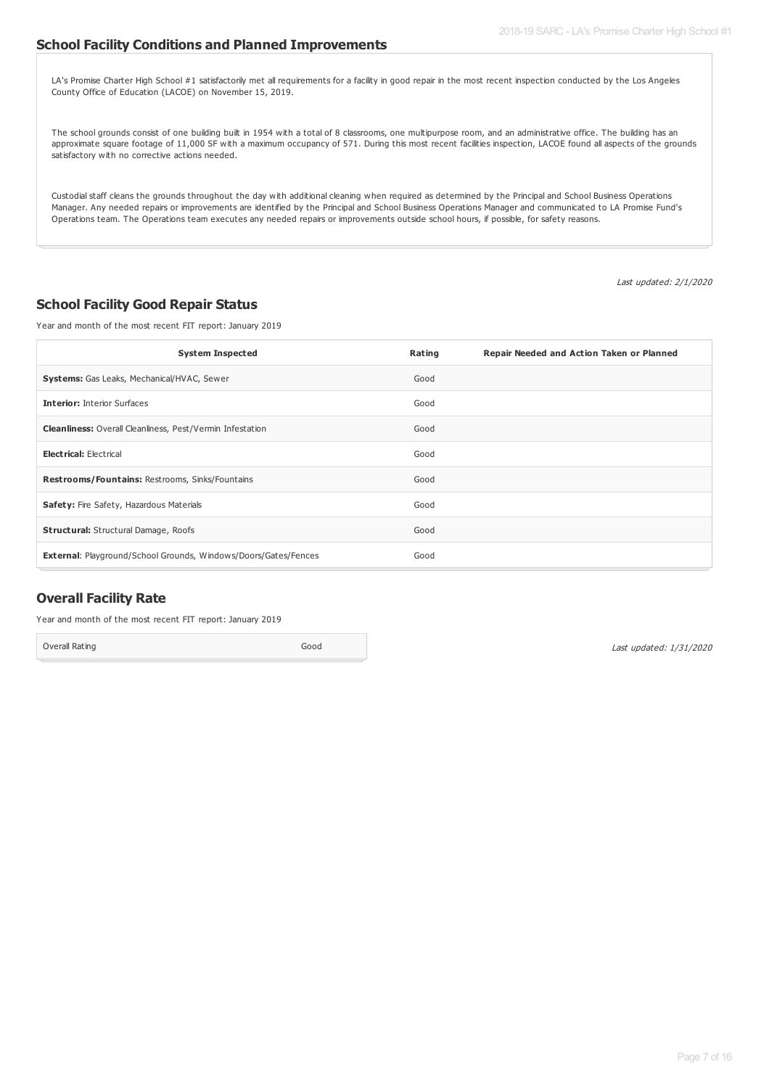#### **School Facility Conditions and Planned Improvements**

LA's Promise Charter High School #1 satisfactorily met all requirements for a facility in good repair in the most recent inspection conducted by the Los Angeles County Office of Education (LACOE) on November 15, 2019.

The school grounds consist of one building built in 1954 with a total of 8 classrooms, one multipurpose room, and an administrative office. The building has an approximate square footage of 11,000 SF with a maximum occupancy of 571. During this most recent facilities inspection, LACOE found all aspects of the grounds satisfactory with no corrective actions needed.

Custodial staff cleans the grounds throughout the day with additional cleaning when required as determined by the Principal and School Business Operations Manager. Any needed repairs or improvements are identified by the Principal and School Business Operations Manager and communicated to LA Promise Fund's Operations team. The Operations team executes any needed repairs or improvements outside school hours, if possible, for safety reasons.

Last updated: 2/1/2020

#### **School Facility Good Repair Status**

Year and month of the most recent FIT report: January 2019

| <b>System Inspected</b>                                                | Rating | Repair Needed and Action Taken or Planned |
|------------------------------------------------------------------------|--------|-------------------------------------------|
| <b>Systems:</b> Gas Leaks, Mechanical/HVAC, Sewer                      | Good   |                                           |
| <b>Interior: Interior Surfaces</b>                                     | Good   |                                           |
| <b>Cleanliness:</b> Overall Cleanliness, Pest/Vermin Infestation       | Good   |                                           |
| <b>Electrical: Electrical</b>                                          | Good   |                                           |
| <b>Restrooms/Fountains: Restrooms, Sinks/Fountains</b>                 | Good   |                                           |
| Safety: Fire Safety, Hazardous Materials                               | Good   |                                           |
| <b>Structural:</b> Structural Damage, Roofs                            | Good   |                                           |
| <b>External: Playground/School Grounds, Windows/Doors/Gates/Fences</b> | Good   |                                           |

#### **Overall Facility Rate**

Year and month of the most recent FIT report: January 2019

Overall Rating Good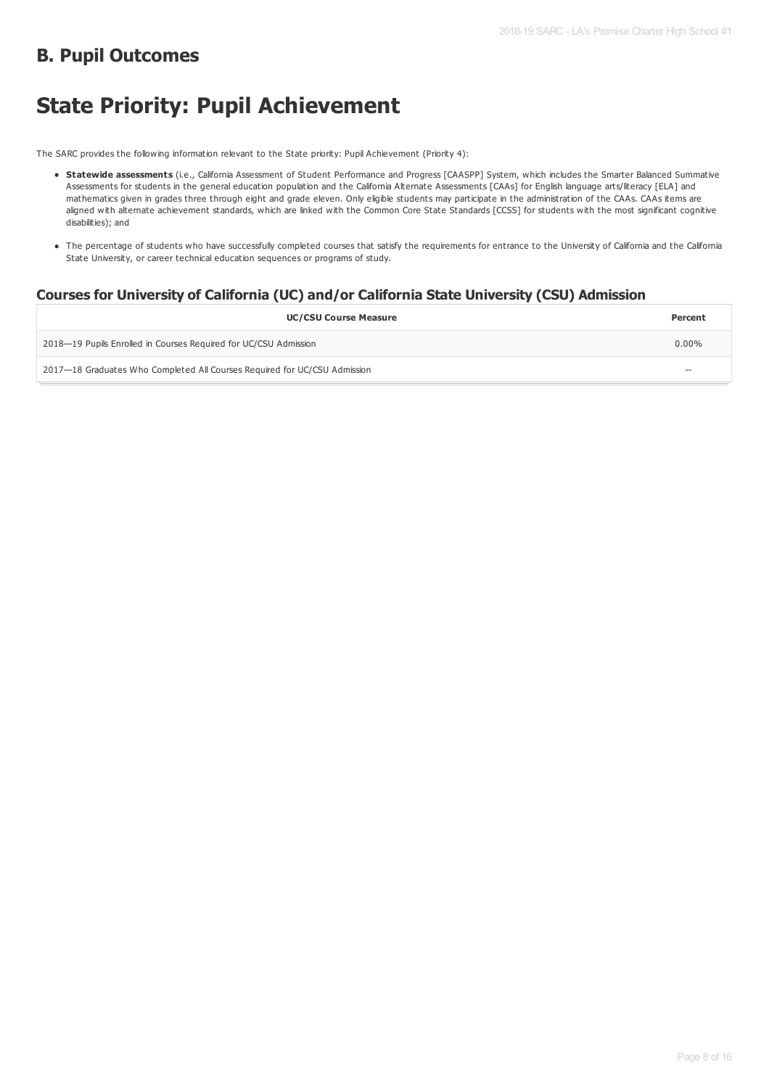## **B. Pupil Outcomes**

# **State Priority: Pupil Achievement**

The SARC provides the following information relevant to the State priority: Pupil Achievement (Priority 4):

- **Statewide assessments** (i.e., California Assessment of Student Performance and Progress [CAASPP] System, which includes the Smarter Balanced Summative Assessments for students in the general education population and the California Alternate Assessments [CAAs] for English language arts/literacy [ELA] and mathematics given in grades three through eight and grade eleven. Only eligible students may participate in the administration of the CAAs. CAAs items are aligned with alternate achievement standards, which are linked with the Common Core State Standards [CCSS] for students with the most significant cognitive disabilities); and
- The percentage of students who have successfully completed courses that satisfy the requirements for entrance to the University of California and the California State University, or career technical education sequences or programs of study.

#### **Courses for University of California (UC) and/or California State University (CSU) Admission**

| <b>UC/CSU Course Measure</b>                                              | Percent           |
|---------------------------------------------------------------------------|-------------------|
| 2018–19 Pupils Enrolled in Courses Required for UC/CSU Admission          | $0.00\%$          |
| 2017—18 Graduates Who Completed All Courses Required for UC/CSU Admission | $\hspace{0.05cm}$ |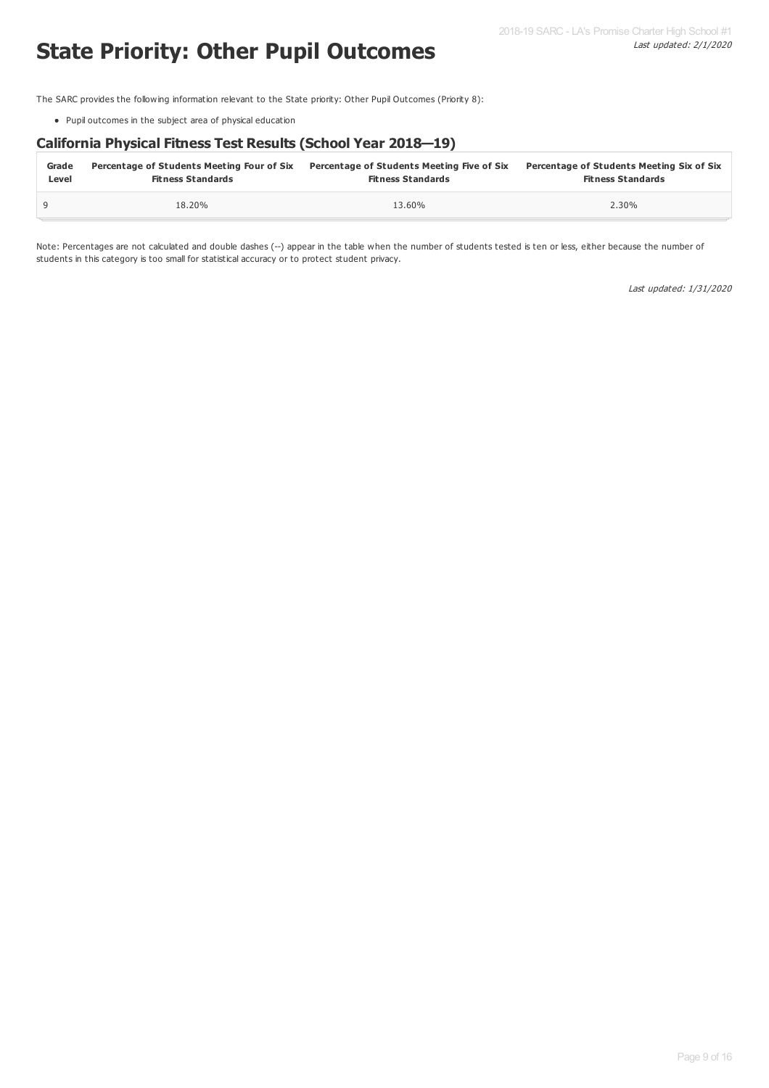# **State Priority: Other Pupil Outcomes**

The SARC provides the following information relevant to the State priority: Other Pupil Outcomes (Priority 8):

Pupil outcomes in the subject area of physical education

#### **California Physical Fitness Test Results (School Year 2018—19)**

| Grade | Percentage of Students Meeting Four of Six | Percentage of Students Meeting Five of Six | Percentage of Students Meeting Six of Six |
|-------|--------------------------------------------|--------------------------------------------|-------------------------------------------|
| Level | <b>Fitness Standards</b>                   | <b>Fitness Standards</b>                   | <b>Fitness Standards</b>                  |
|       | 18.20%                                     | 13.60%                                     | 2.30%                                     |

Note: Percentages are not calculated and double dashes (--) appear in the table when the number of students tested is ten or less, either because the number of students in this category is too small for statistical accuracy or to protect student privacy.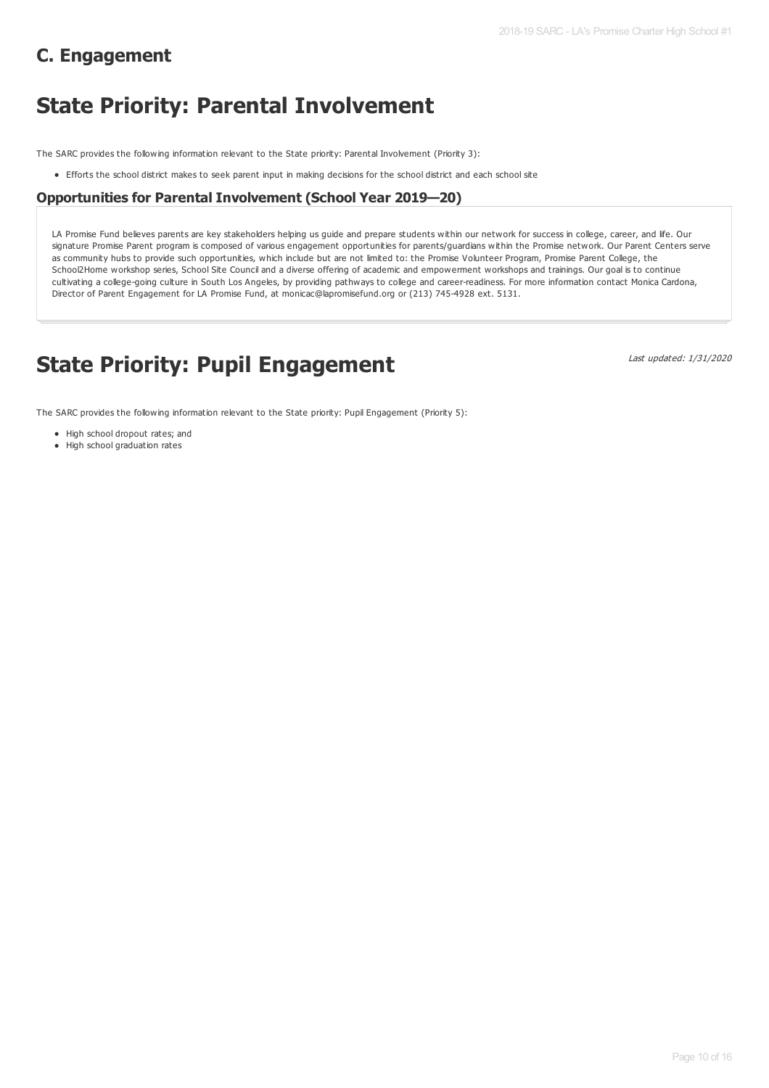# **C. Engagement**

# **State Priority: Parental Involvement**

The SARC provides the following information relevant to the State priority: Parental Involvement (Priority 3):

Efforts the school district makes to seek parent input in making decisions for the school district and each school site

#### **Opportunities for Parental Involvement (School Year 2019—20)**

LA Promise Fund believes parents are key stakeholders helping us guide and prepare students within our network for success in college, career, and life. Our signature Promise Parent program is composed of various engagement opportunities for parents/guardians within the Promise network. Our Parent Centers serve as community hubs to provide such opportunities, which include but are not limited to: the Promise Volunteer Program, Promise Parent College, the School2Home workshop series, School Site Council and a diverse offering of academic and empowerment workshops and trainings. Our goal is to continue cultivating a college-going culture in South Los Angeles, by providing pathways to college and career-readiness. For more information contact Monica Cardona, Director of Parent Engagement for LA Promise Fund, at monicac@lapromisefund.org or (213) 745-4928 ext. 5131.

# **State Priority: Pupil Engagement**

Last updated: 1/31/2020

The SARC provides the following information relevant to the State priority: Pupil Engagement (Priority 5):

- High school dropout rates; and
- $\bullet$  High school graduation rates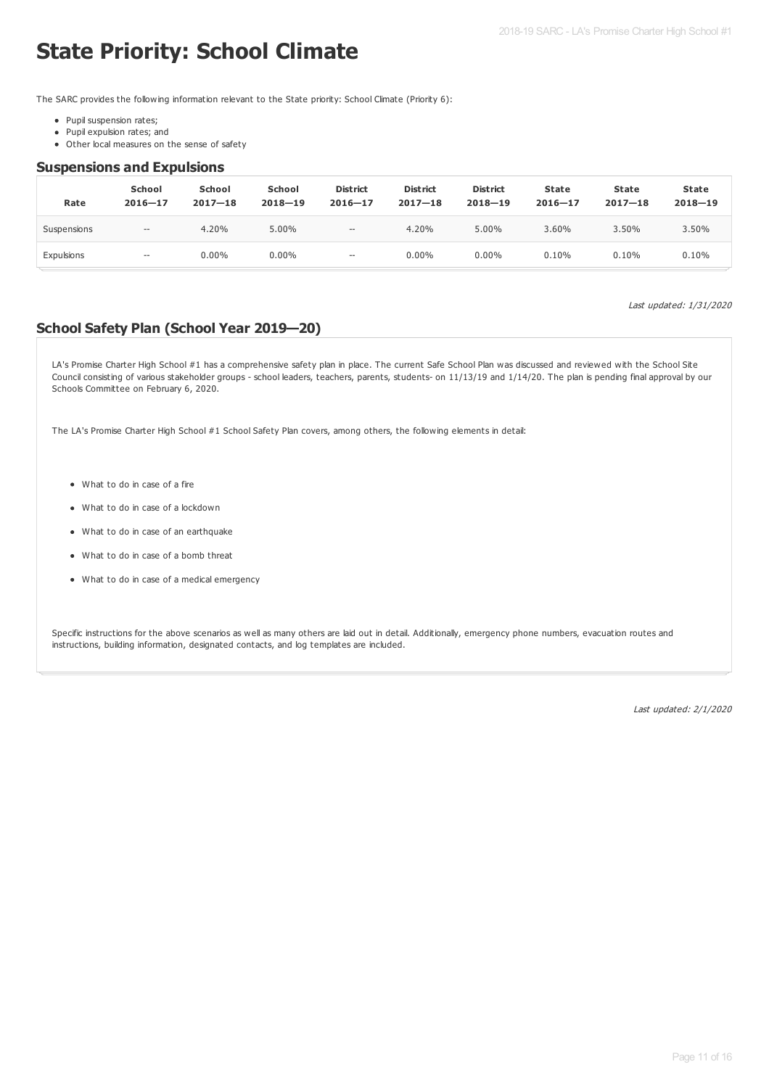# **State Priority: School Climate**

The SARC provides the following information relevant to the State priority: School Climate (Priority 6):

- Pupil suspension rates;
- Pupil expulsion rates; and
- Other local measures on the sense of safety

#### **Suspensions and Expulsions**

| Rate        | <b>School</b><br>$2016 - 17$ | <b>School</b><br>$2017 - 18$ | <b>School</b><br>$2018 - 19$ | <b>District</b><br>$2016 - 17$                      | <b>District</b><br>$2017 - 18$ | <b>District</b><br>$2018 - 19$ | State<br>$2016 - 17$ | <b>State</b><br>$2017 - 18$ | <b>State</b><br>$2018 - 19$ |
|-------------|------------------------------|------------------------------|------------------------------|-----------------------------------------------------|--------------------------------|--------------------------------|----------------------|-----------------------------|-----------------------------|
| Suspensions | $\hspace{0.05cm}$            | 4.20%                        | 5.00%                        | $- -$                                               | 4.20%                          | 5.00%                          | 3.60%                | 3.50%                       | 3.50%                       |
| Expulsions  | $\hspace{0.05cm} \cdots$     | $0.00\%$                     | $0.00\%$                     | $\hspace{0.05cm} -\hspace{0.05cm} -\hspace{0.05cm}$ | $0.00\%$                       | $0.00\%$                       | 0.10%                | 0.10%                       | 0.10%                       |

Last updated: 1/31/2020

#### **School Safety Plan (School Year 2019—20)**

LA's Promise Charter High School #1 has a comprehensive safety plan in place. The current Safe School Plan was discussed and reviewed with the School Site Council consisting of various stakeholder groups - school leaders, teachers, parents, students- on 11/13/19 and 1/14/20. The plan is pending final approval by our Schools Committee on February 6, 2020.

The LA's Promise Charter High School #1 School Safety Plan covers, among others, the following elements in detail:

- What to do in case of a fire
- What to do in case of a lockdown
- What to do in case of an earthquake
- What to do in case of a bomb threat
- What to do in case of a medical emergency

Specific instructions for the above scenarios as well as many others are laid out in detail. Additionally, emergency phone numbers, evacuation routes and instructions, building information, designated contacts, and log templates are included.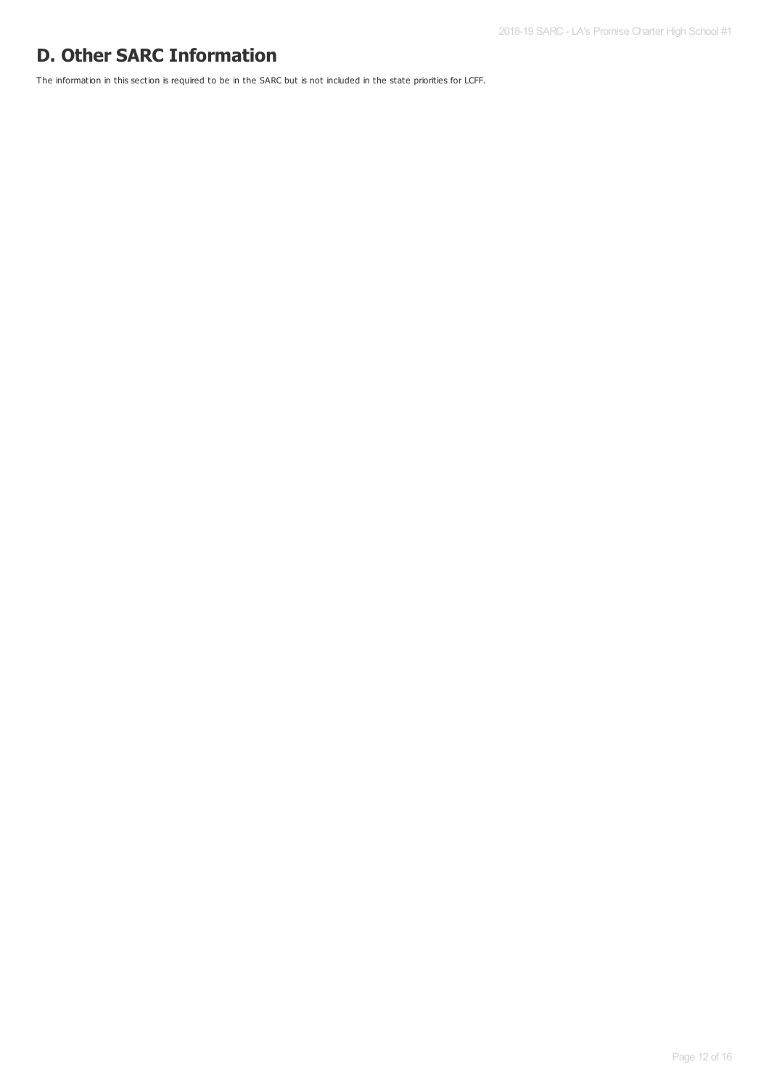# **D. Other SARC Information**

The information in this section is required to be in the SARC but is not included in the state priorities for LCFF.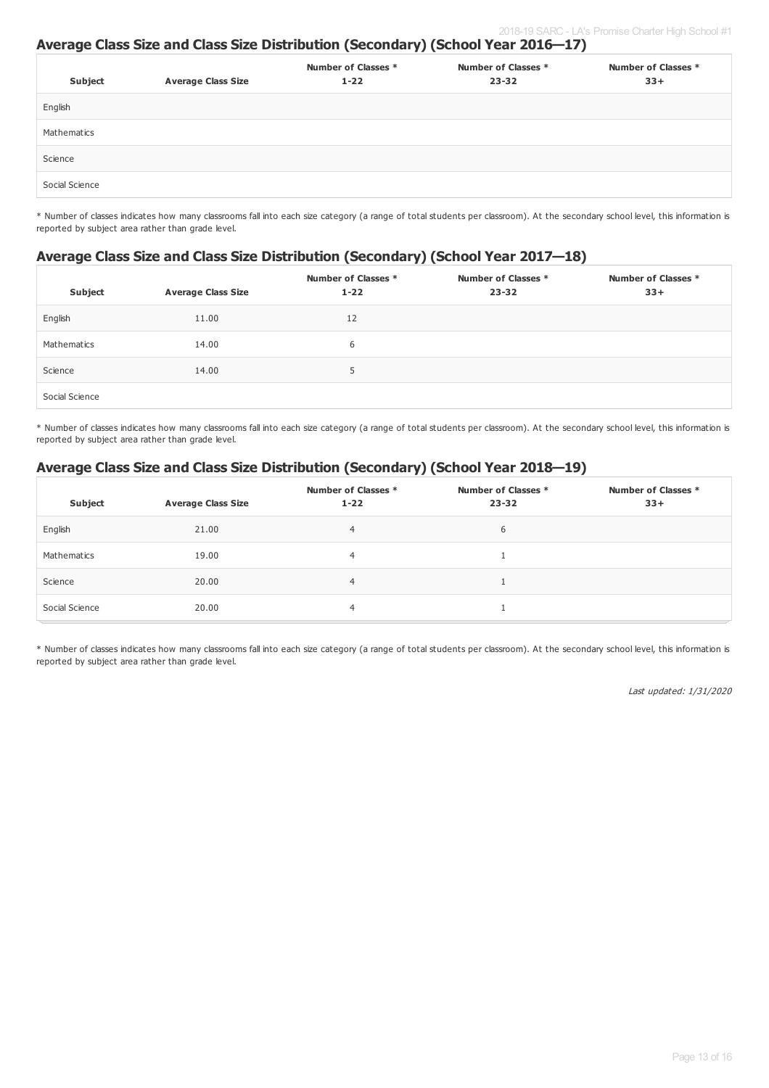#### **Average Class Size and Class Size Distribution (Secondary) (School Year 2016—17)**

| Subject        | <b>Average Class Size</b> | Number of Classes *<br>$1 - 22$ | Number of Classes *<br>$23 - 32$ | Number of Classes *<br>$33+$ |
|----------------|---------------------------|---------------------------------|----------------------------------|------------------------------|
| English        |                           |                                 |                                  |                              |
| Mathematics    |                           |                                 |                                  |                              |
| Science        |                           |                                 |                                  |                              |
| Social Science |                           |                                 |                                  |                              |

\* Number of classes indicates how many classrooms fall into each size category (a range of total students per classroom). At the secondary school level, this information is reported by subject area rather than grade level.

#### **Average Class Size and Class Size Distribution (Secondary) (School Year 2017—18)**

| Subject        | <b>Average Class Size</b> | Number of Classes *<br>$1 - 22$ | Number of Classes *<br>$23 - 32$ | Number of Classes *<br>$33+$ |
|----------------|---------------------------|---------------------------------|----------------------------------|------------------------------|
| English        | 11.00                     | 12                              |                                  |                              |
| Mathematics    | 14.00                     | 6                               |                                  |                              |
| Science        | 14.00                     | 5                               |                                  |                              |
| Social Science |                           |                                 |                                  |                              |

\* Number of classes indicates how many classrooms fall into each size category (a range of total students per classroom). At the secondary school level, this information is reported by subject area rather than grade level.

### **Average Class Size and Class Size Distribution (Secondary) (School Year 2018—19)**

| Subject        | <b>Average Class Size</b> | Number of Classes *<br>$1 - 22$ | Number of Classes *<br>$23 - 32$ | Number of Classes *<br>$33+$ |
|----------------|---------------------------|---------------------------------|----------------------------------|------------------------------|
| English        | 21.00                     | 4                               | 6                                |                              |
| Mathematics    | 19.00                     | 4                               |                                  |                              |
| Science        | 20.00                     | 4                               |                                  |                              |
| Social Science | 20.00                     | 4                               |                                  |                              |

\* Number of classes indicates how many classrooms fall into each size category (a range of total students per classroom). At the secondary school level, this information is reported by subject area rather than grade level.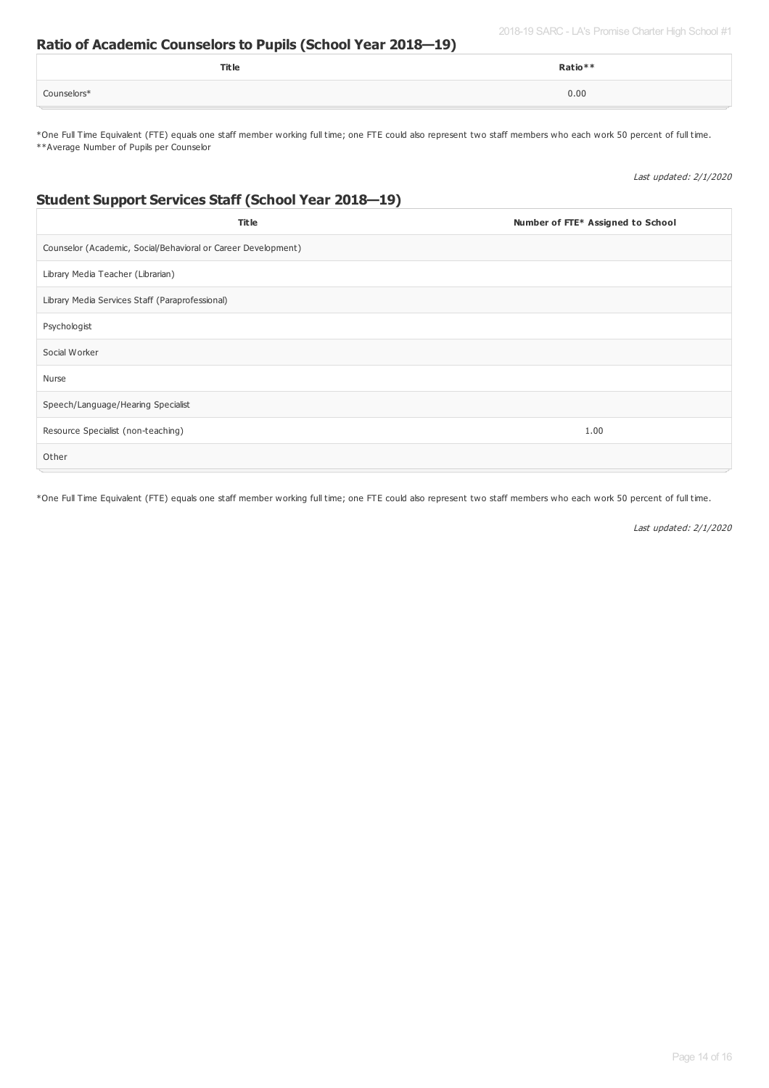2018-19 SARC - LA's Promise Charter High School #1

#### **Ratio of Academic Counselors to Pupils (School Year 2018—19)**

|             | Title | Ratio** |
|-------------|-------|---------|
| Counselors* |       | 0.00    |

\*One Full Time Equivalent (FTE) equals one staff member working full time; one FTE could also represent two staff members who each work 50 percent of full time. \*\*Average Number of Pupils per Counselor

Last updated: 2/1/2020

### **Student Support Services Staff (School Year 2018—19)**

| <b>Title</b>                                                  | Number of FTE* Assigned to School |
|---------------------------------------------------------------|-----------------------------------|
| Counselor (Academic, Social/Behavioral or Career Development) |                                   |
| Library Media Teacher (Librarian)                             |                                   |
| Library Media Services Staff (Paraprofessional)               |                                   |
| Psychologist                                                  |                                   |
| Social Worker                                                 |                                   |
| Nurse                                                         |                                   |
| Speech/Language/Hearing Specialist                            |                                   |
| Resource Specialist (non-teaching)                            | 1.00                              |
| Other                                                         |                                   |

\*One Full Time Equivalent (FTE) equals one staff member working full time; one FTE could also represent two staff members who each work 50 percent of full time.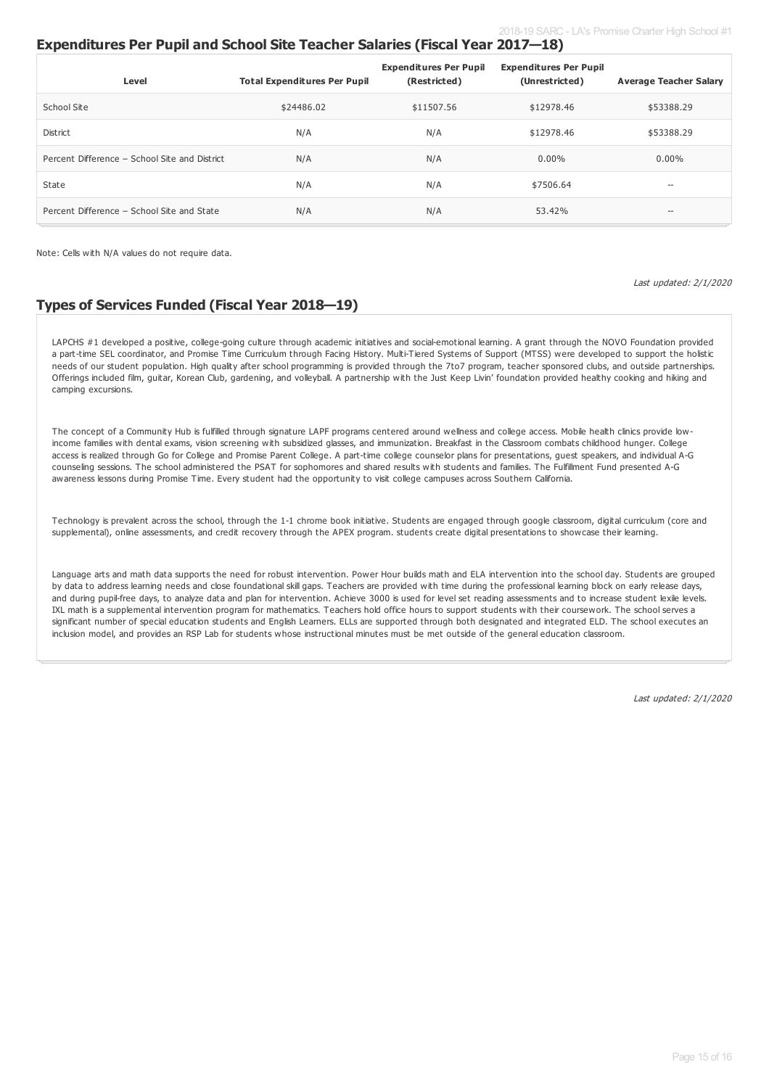### **Expenditures Per Pupil and School Site Teacher Salaries (Fiscal Year 2017—18)**

| Level                                         | <b>Total Expenditures Per Pupil</b> | <b>Expenditures Per Pupil</b><br>(Restricted) | <b>Expenditures Per Pupil</b><br>(Unrestricted) | <b>Average Teacher Salary</b> |
|-----------------------------------------------|-------------------------------------|-----------------------------------------------|-------------------------------------------------|-------------------------------|
| School Site                                   | \$24486.02                          | \$11507.56                                    | \$12978.46                                      | \$53388.29                    |
| District                                      | N/A                                 | N/A                                           | \$12978.46                                      | \$53388.29                    |
| Percent Difference - School Site and District | N/A                                 | N/A                                           | $0.00\%$                                        | $0.00\%$                      |
| State                                         | N/A                                 | N/A                                           | \$7506.64                                       | --                            |
| Percent Difference - School Site and State    | N/A                                 | N/A                                           | 53.42%                                          | $\hspace{0.05cm} \ldots$      |

Note: Cells with N/A values do not require data.

Last updated: 2/1/2020

### **Types of Services Funded (Fiscal Year 2018—19)**

LAPCHS #1 developed a positive, college-going culture through academic initiatives and social-emotional learning. A grant through the NOVO Foundation provided a part-time SEL coordinator, and Promise Time Curriculum through Facing History. Multi-Tiered Systems of Support (MTSS) were developed to support the holistic needs of our student population. High quality after school programming is provided through the 7to7 program, teacher sponsored clubs, and outside partnerships. Offerings included film, guitar, Korean Club, gardening, and volleyball. A partnership with the Just Keep Livin' foundation provided healthy cooking and hiking and camping excursions.

The concept of a Community Hub is fulfilled through signature LAPF programs centered around wellness and college access. Mobile health clinics provide lowincome families with dental exams, vision screening with subsidized glasses, and immunization. Breakfast in the Classroom combats childhood hunger. College access is realized through Go for College and Promise Parent College. A part-time college counselor plans for presentations, guest speakers, and individual A-G counseling sessions. The school administered the PSAT for sophomores and shared results with students and families. The Fulfillment Fund presented A-G awareness lessons during Promise Time. Every student had the opportunity to visit college campuses across Southern California.

Technology is prevalent across the school, through the 1-1 chrome book initiative. Students are engaged through google classroom, digital curriculum (core and supplemental), online assessments, and credit recovery through the APEX program. students create digital presentations to showcase their learning.

Language arts and math data supports the need for robust intervention. Power Hour builds math and ELA intervention into the school day. Students are grouped by data to address learning needs and close foundational skill gaps. Teachers are provided with time during the professional learning block on early release days, and during pupil-free days, to analyze data and plan for intervention. Achieve 3000 is used for level set reading assessments and to increase student lexile levels. IXL math is a supplemental intervention program for mathematics. Teachers hold office hours to support students with their coursework. The school serves a significant number of special education students and English Learners. ELLs are supported through both designated and integrated ELD. The school executes an inclusion model, and provides an RSP Lab for students whose instructional minutes must be met outside of the general education classroom.